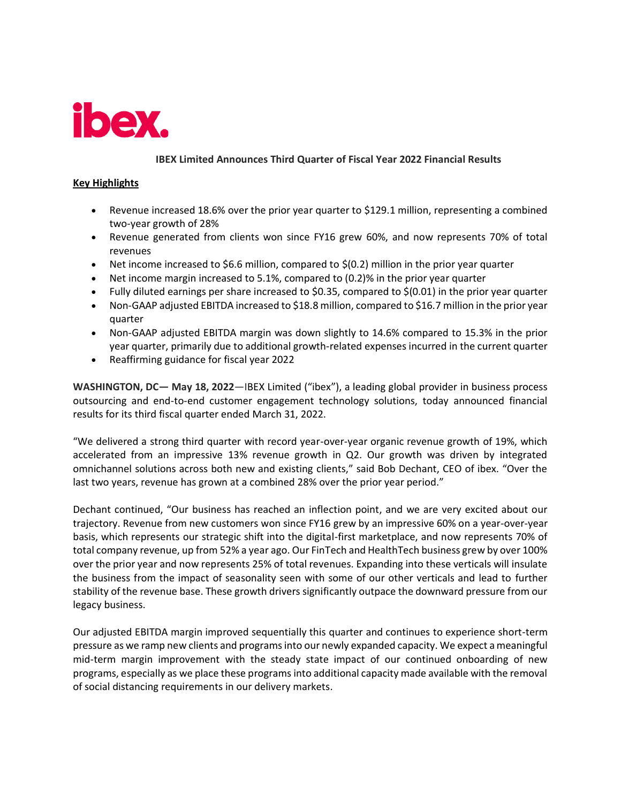

#### **IBEX Limited Announces Third Quarter of Fiscal Year 2022 Financial Results**

#### **Key Highlights**

- Revenue increased 18.6% over the prior year quarter to \$129.1 million, representing a combined two-year growth of 28%
- Revenue generated from clients won since FY16 grew 60%, and now represents 70% of total revenues
- Net income increased to \$6.6 million, compared to \$(0.2) million in the prior year quarter
- Net income margin increased to 5.1%, compared to (0.2)% in the prior year quarter
- Fully diluted earnings per share increased to \$0.35, compared to \$(0.01) in the prior year quarter
- Non-GAAP adjusted EBITDA increased to \$18.8 million, compared to \$16.7 million in the prior year quarter
- Non-GAAP adjusted EBITDA margin was down slightly to 14.6% compared to 15.3% in the prior year quarter, primarily due to additional growth-related expenses incurred in the current quarter
- Reaffirming guidance for fiscal year 2022

**WASHINGTON, DC— May 18, 2022**—IBEX Limited ("ibex"), a leading global provider in business process outsourcing and end-to-end customer engagement technology solutions, today announced financial results for its third fiscal quarter ended March 31, 2022.

"We delivered a strong third quarter with record year-over-year organic revenue growth of 19%, which accelerated from an impressive 13% revenue growth in Q2. Our growth was driven by integrated omnichannel solutions across both new and existing clients," said Bob Dechant, CEO of ibex. "Over the last two years, revenue has grown at a combined 28% over the prior year period."

Dechant continued, "Our business has reached an inflection point, and we are very excited about our trajectory. Revenue from new customers won since FY16 grew by an impressive 60% on a year-over-year basis, which represents our strategic shift into the digital-first marketplace, and now represents 70% of total company revenue, up from 52% a year ago. Our FinTech and HealthTech business grew by over 100% over the prior year and now represents 25% of total revenues. Expanding into these verticals will insulate the business from the impact of seasonality seen with some of our other verticals and lead to further stability of the revenue base. These growth drivers significantly outpace the downward pressure from our legacy business.

Our adjusted EBITDA margin improved sequentially this quarter and continues to experience short-term pressure as we ramp new clients and programs into our newly expanded capacity. We expect a meaningful mid-term margin improvement with the steady state impact of our continued onboarding of new programs, especially as we place these programs into additional capacity made available with the removal of social distancing requirements in our delivery markets.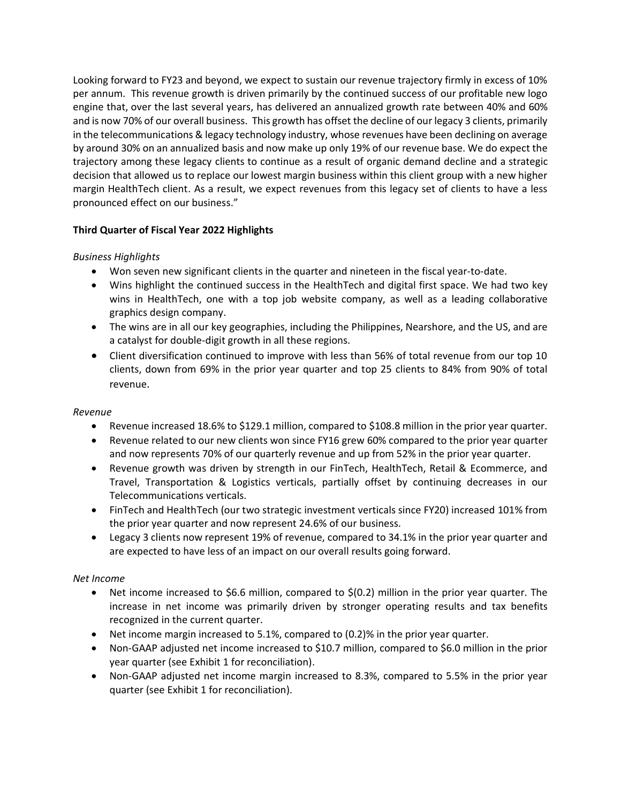Looking forward to FY23 and beyond, we expect to sustain our revenue trajectory firmly in excess of 10% per annum. This revenue growth is driven primarily by the continued success of our profitable new logo engine that, over the last several years, has delivered an annualized growth rate between 40% and 60% and is now 70% of our overall business. This growth has offset the decline of our legacy 3 clients, primarily in the telecommunications & legacy technology industry, whose revenues have been declining on average by around 30% on an annualized basis and now make up only 19% of our revenue base. We do expect the trajectory among these legacy clients to continue as a result of organic demand decline and a strategic decision that allowed us to replace our lowest margin business within this client group with a new higher margin HealthTech client. As a result, we expect revenues from this legacy set of clients to have a less pronounced effect on our business."

## **Third Quarter of Fiscal Year 2022 Highlights**

## *Business Highlights*

- Won seven new significant clients in the quarter and nineteen in the fiscal year-to-date.
- Wins highlight the continued success in the HealthTech and digital first space. We had two key wins in HealthTech, one with a top job website company, as well as a leading collaborative graphics design company.
- The wins are in all our key geographies, including the Philippines, Nearshore, and the US, and are a catalyst for double-digit growth in all these regions.
- Client diversification continued to improve with less than 56% of total revenue from our top 10 clients, down from 69% in the prior year quarter and top 25 clients to 84% from 90% of total revenue.

## *Revenue*

- Revenue increased 18.6% to \$129.1 million, compared to \$108.8 million in the prior year quarter.
- Revenue related to our new clients won since FY16 grew 60% compared to the prior year quarter and now represents 70% of our quarterly revenue and up from 52% in the prior year quarter.
- Revenue growth was driven by strength in our FinTech, HealthTech, Retail & Ecommerce, and Travel, Transportation & Logistics verticals, partially offset by continuing decreases in our Telecommunications verticals.
- FinTech and HealthTech (our two strategic investment verticals since FY20) increased 101% from the prior year quarter and now represent 24.6% of our business.
- Legacy 3 clients now represent 19% of revenue, compared to 34.1% in the prior year quarter and are expected to have less of an impact on our overall results going forward.

## *Net Income*

- Net income increased to \$6.6 million, compared to \$(0.2) million in the prior year quarter. The increase in net income was primarily driven by stronger operating results and tax benefits recognized in the current quarter.
- Net income margin increased to 5.1%, compared to (0.2)% in the prior year quarter.
- Non-GAAP adjusted net income increased to \$10.7 million, compared to \$6.0 million in the prior year quarter (see Exhibit 1 for reconciliation).
- Non-GAAP adjusted net income margin increased to 8.3%, compared to 5.5% in the prior year quarter (see Exhibit 1 for reconciliation).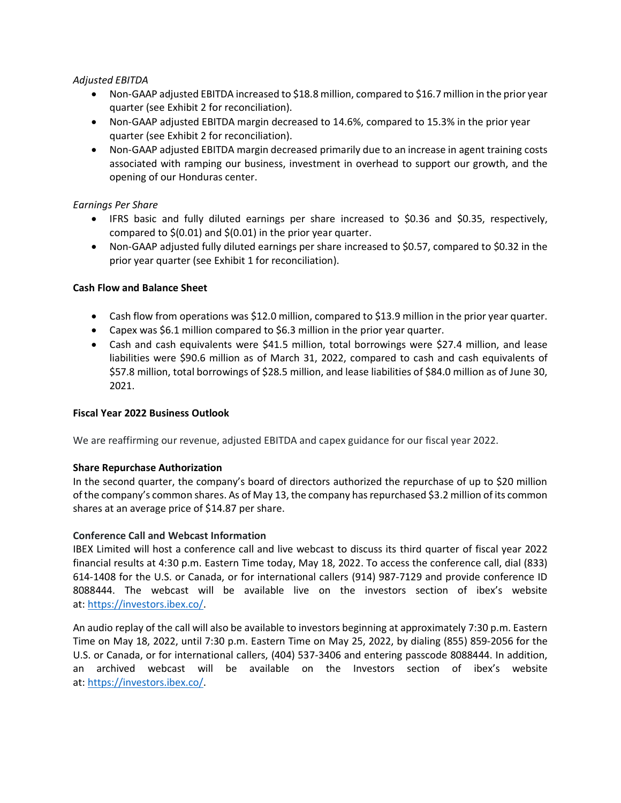### *Adjusted EBITDA*

- Non-GAAP adjusted EBITDA increased to \$18.8 million, compared to \$16.7 million in the prior year quarter (see Exhibit 2 for reconciliation).
- Non-GAAP adjusted EBITDA margin decreased to 14.6%, compared to 15.3% in the prior year quarter (see Exhibit 2 for reconciliation).
- Non-GAAP adjusted EBITDA margin decreased primarily due to an increase in agent training costs associated with ramping our business, investment in overhead to support our growth, and the opening of our Honduras center.

### *Earnings Per Share*

- IFRS basic and fully diluted earnings per share increased to \$0.36 and \$0.35, respectively, compared to \$(0.01) and \$(0.01) in the prior year quarter.
- Non-GAAP adjusted fully diluted earnings per share increased to \$0.57, compared to \$0.32 in the prior year quarter (see Exhibit 1 for reconciliation).

### **Cash Flow and Balance Sheet**

- Cash flow from operations was \$12.0 million, compared to \$13.9 million in the prior year quarter.
- Capex was \$6.1 million compared to \$6.3 million in the prior year quarter.
- Cash and cash equivalents were \$41.5 million, total borrowings were \$27.4 million, and lease liabilities were \$90.6 million as of March 31, 2022, compared to cash and cash equivalents of \$57.8 million, total borrowings of \$28.5 million, and lease liabilities of \$84.0 million as of June 30, 2021.

#### **Fiscal Year 2022 Business Outlook**

We are reaffirming our revenue, adjusted EBITDA and capex guidance for our fiscal year 2022.

#### **Share Repurchase Authorization**

In the second quarter, the company's board of directors authorized the repurchase of up to \$20 million of the company's common shares. As of May 13, the company has repurchased \$3.2 million of its common shares at an average price of \$14.87 per share.

#### **Conference Call and Webcast Information**

IBEX Limited will host a conference call and live webcast to discuss its third quarter of fiscal year 2022 financial results at 4:30 p.m. Eastern Time today, May 18, 2022. To access the conference call, dial (833) 614-1408 for the U.S. or Canada, or for international callers (914) 987-7129 and provide conference ID 8088444. The webcast will be available live on the investors section of ibex's website at: [https://investors.ibex.co/.](https://investors.ibex.co/)

An audio replay of the call will also be available to investors beginning at approximately 7:30 p.m. Eastern Time on May 18, 2022, until 7:30 p.m. Eastern Time on May 25, 2022, by dialing (855) 859-2056 for the U.S. or Canada, or for international callers, (404) 537-3406 and entering passcode 8088444. In addition, an archived webcast will be available on the Investors section of ibex's website at: [https://investors.ibex.co/.](https://investors.ibex.co/)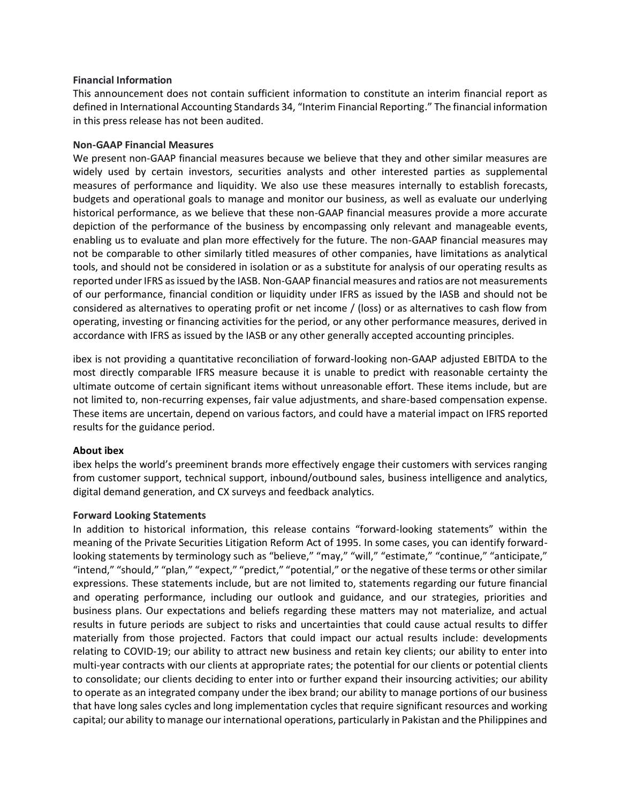#### **Financial Information**

This announcement does not contain sufficient information to constitute an interim financial report as defined in International Accounting Standards 34, "Interim Financial Reporting." The financial information in this press release has not been audited.

#### **Non-GAAP Financial Measures**

We present non-GAAP financial measures because we believe that they and other similar measures are widely used by certain investors, securities analysts and other interested parties as supplemental measures of performance and liquidity. We also use these measures internally to establish forecasts, budgets and operational goals to manage and monitor our business, as well as evaluate our underlying historical performance, as we believe that these non-GAAP financial measures provide a more accurate depiction of the performance of the business by encompassing only relevant and manageable events, enabling us to evaluate and plan more effectively for the future. The non-GAAP financial measures may not be comparable to other similarly titled measures of other companies, have limitations as analytical tools, and should not be considered in isolation or as a substitute for analysis of our operating results as reported under IFRS as issued by the IASB. Non-GAAP financial measures and ratios are not measurements of our performance, financial condition or liquidity under IFRS as issued by the IASB and should not be considered as alternatives to operating profit or net income / (loss) or as alternatives to cash flow from operating, investing or financing activities for the period, or any other performance measures, derived in accordance with IFRS as issued by the IASB or any other generally accepted accounting principles.

ibex is not providing a quantitative reconciliation of forward-looking non-GAAP adjusted EBITDA to the most directly comparable IFRS measure because it is unable to predict with reasonable certainty the ultimate outcome of certain significant items without unreasonable effort. These items include, but are not limited to, non-recurring expenses, fair value adjustments, and share-based compensation expense. These items are uncertain, depend on various factors, and could have a material impact on IFRS reported results for the guidance period.

#### **About ibex**

ibex helps the world's preeminent brands more effectively engage their customers with services ranging from customer support, technical support, inbound/outbound sales, business intelligence and analytics, digital demand generation, and CX surveys and feedback analytics.

#### **Forward Looking Statements**

In addition to historical information, this release contains "forward-looking statements" within the meaning of the Private Securities Litigation Reform Act of 1995. In some cases, you can identify forwardlooking statements by terminology such as "believe," "may," "will," "estimate," "continue," "anticipate," "intend," "should," "plan," "expect," "predict," "potential," or the negative of these terms or other similar expressions. These statements include, but are not limited to, statements regarding our future financial and operating performance, including our outlook and guidance, and our strategies, priorities and business plans. Our expectations and beliefs regarding these matters may not materialize, and actual results in future periods are subject to risks and uncertainties that could cause actual results to differ materially from those projected. Factors that could impact our actual results include: developments relating to COVID-19; our ability to attract new business and retain key clients; our ability to enter into multi-year contracts with our clients at appropriate rates; the potential for our clients or potential clients to consolidate; our clients deciding to enter into or further expand their insourcing activities; our ability to operate as an integrated company under the ibex brand; our ability to manage portions of our business that have long sales cycles and long implementation cycles that require significant resources and working capital; our ability to manage our international operations, particularly in Pakistan and the Philippines and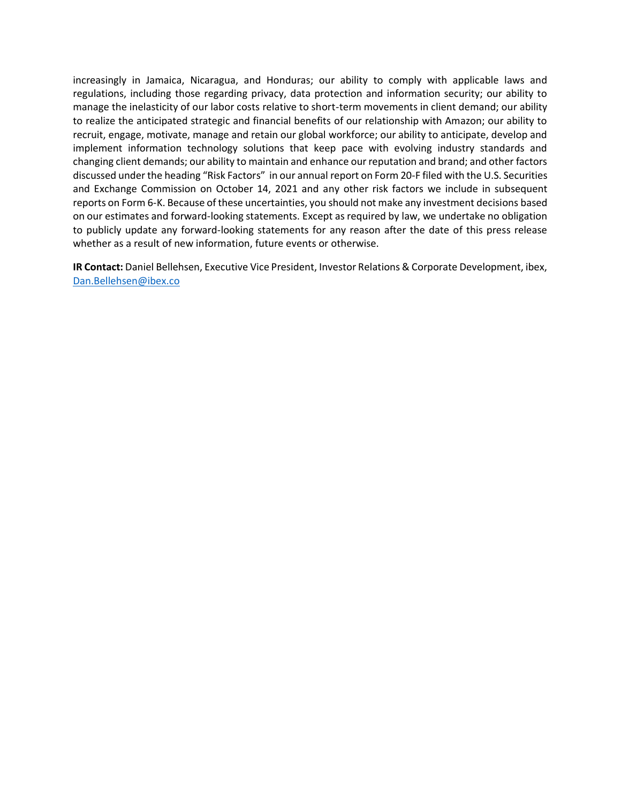increasingly in Jamaica, Nicaragua, and Honduras; our ability to comply with applicable laws and regulations, including those regarding privacy, data protection and information security; our ability to manage the inelasticity of our labor costs relative to short-term movements in client demand; our ability to realize the anticipated strategic and financial benefits of our relationship with Amazon; our ability to recruit, engage, motivate, manage and retain our global workforce; our ability to anticipate, develop and implement information technology solutions that keep pace with evolving industry standards and changing client demands; our ability to maintain and enhance our reputation and brand; and other factors discussed under the heading "Risk Factors" in our annual report on Form 20-F filed with the U.S. Securities and Exchange Commission on October 14, 2021 and any other risk factors we include in subsequent reports on Form 6-K. Because of these uncertainties, you should not make any investment decisions based on our estimates and forward-looking statements. Except as required by law, we undertake no obligation to publicly update any forward-looking statements for any reason after the date of this press release whether as a result of new information, future events or otherwise.

**IR Contact:** Daniel Bellehsen, Executive Vice President, Investor Relations & Corporate Development, ibex, [Dan.Bellehsen@ibex.co](mailto:Dan.Bellehsen@ibex.co)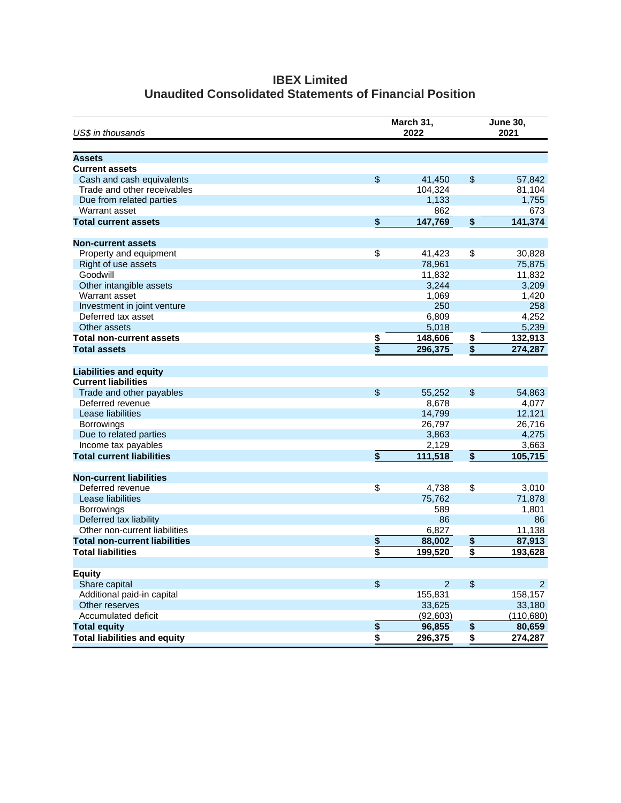# **IBEX Limited Unaudited Consolidated Statements of Financial Position**

| <b>Assets</b><br><b>Current assets</b><br>\$<br>\$<br>57,842<br>Cash and cash equivalents<br>41.450<br>Trade and other receivables<br>81,104<br>104,324<br>Due from related parties<br>1,133<br>1,755<br>Warrant asset<br>862<br>673<br>\$<br>147,769<br>141,374<br><b>Total current assets</b><br>\$<br><b>Non-current assets</b><br>\$<br>\$<br>41,423<br>30,828<br>Property and equipment<br>78,961<br>75,875<br>Right of use assets<br>Goodwill<br>11,832<br>11,832<br>Other intangible assets<br>3,244<br>3,209<br>1,420<br>Warrant asset<br>1,069<br>Investment in joint venture<br>250<br>258<br>4,252<br>Deferred tax asset<br>6,809<br>Other assets<br>5,239<br>5,018<br>132,913<br><b>Total non-current assets</b><br>\$<br>148,606<br><u>\$</u><br>$\overline{\$}$<br><b>Total assets</b><br>296,375<br>274,287<br><b>Liabilities and equity</b><br><b>Current liabilities</b><br>$\boldsymbol{\mathsf{S}}$<br>\$<br>Trade and other payables<br>55,252<br>54,863<br>Deferred revenue<br>8,678<br>4,077<br>12,121<br>Lease liabilities<br>14,799<br><b>Borrowings</b><br>26,797<br>26,716<br>3,863<br>4,275<br>Due to related parties<br>2,129<br>3,663<br>Income tax payables<br>$\overline{\$}$<br>$\overline{\$}$<br><b>Total current liabilities</b><br>105,715<br>111,518<br><b>Non-current liabilities</b><br>\$<br>\$<br>Deferred revenue<br>3,010<br>4,738<br>Lease liabilities<br>75,762<br>71,878<br><b>Borrowings</b><br>589<br>1,801<br>Deferred tax liability<br>86<br>86<br>Other non-current liabilities<br>6,827<br>11,138<br><b>Total non-current liabilities</b><br><u>\$</u><br><u>\$</u><br>87,913<br>88,002<br>\$<br>\$<br><b>Total liabilities</b><br>199,520<br>193,628<br><b>Equity</b><br>$\boldsymbol{\mathsf{S}}$<br>$\boldsymbol{\mathsf{S}}$<br>Share capital<br>$\overline{2}$<br>$\overline{2}$<br>Additional paid-in capital<br>155,831<br>158,157<br>Other reserves<br>33,625<br>33,180<br>Accumulated deficit<br>(92, 603)<br>(110, 680)<br>$\frac{1}{2}$<br><b>Total equity</b><br>96,855<br>$\frac{1}{2}$<br>80,659<br>\$<br>\$<br><b>Total liabilities and equity</b><br>296,375<br>274,287 | US\$ in thousands | March 31,<br>2022 |  |  |  |  |  |
|---------------------------------------------------------------------------------------------------------------------------------------------------------------------------------------------------------------------------------------------------------------------------------------------------------------------------------------------------------------------------------------------------------------------------------------------------------------------------------------------------------------------------------------------------------------------------------------------------------------------------------------------------------------------------------------------------------------------------------------------------------------------------------------------------------------------------------------------------------------------------------------------------------------------------------------------------------------------------------------------------------------------------------------------------------------------------------------------------------------------------------------------------------------------------------------------------------------------------------------------------------------------------------------------------------------------------------------------------------------------------------------------------------------------------------------------------------------------------------------------------------------------------------------------------------------------------------------------------------------------------------------------------------------------------------------------------------------------------------------------------------------------------------------------------------------------------------------------------------------------------------------------------------------------------------------------------------------------------------------------------------------------------------------------------------------------------------------------------------------------------------------------|-------------------|-------------------|--|--|--|--|--|
|                                                                                                                                                                                                                                                                                                                                                                                                                                                                                                                                                                                                                                                                                                                                                                                                                                                                                                                                                                                                                                                                                                                                                                                                                                                                                                                                                                                                                                                                                                                                                                                                                                                                                                                                                                                                                                                                                                                                                                                                                                                                                                                                             |                   |                   |  |  |  |  |  |
|                                                                                                                                                                                                                                                                                                                                                                                                                                                                                                                                                                                                                                                                                                                                                                                                                                                                                                                                                                                                                                                                                                                                                                                                                                                                                                                                                                                                                                                                                                                                                                                                                                                                                                                                                                                                                                                                                                                                                                                                                                                                                                                                             |                   |                   |  |  |  |  |  |
|                                                                                                                                                                                                                                                                                                                                                                                                                                                                                                                                                                                                                                                                                                                                                                                                                                                                                                                                                                                                                                                                                                                                                                                                                                                                                                                                                                                                                                                                                                                                                                                                                                                                                                                                                                                                                                                                                                                                                                                                                                                                                                                                             |                   |                   |  |  |  |  |  |
|                                                                                                                                                                                                                                                                                                                                                                                                                                                                                                                                                                                                                                                                                                                                                                                                                                                                                                                                                                                                                                                                                                                                                                                                                                                                                                                                                                                                                                                                                                                                                                                                                                                                                                                                                                                                                                                                                                                                                                                                                                                                                                                                             |                   |                   |  |  |  |  |  |
|                                                                                                                                                                                                                                                                                                                                                                                                                                                                                                                                                                                                                                                                                                                                                                                                                                                                                                                                                                                                                                                                                                                                                                                                                                                                                                                                                                                                                                                                                                                                                                                                                                                                                                                                                                                                                                                                                                                                                                                                                                                                                                                                             |                   |                   |  |  |  |  |  |
|                                                                                                                                                                                                                                                                                                                                                                                                                                                                                                                                                                                                                                                                                                                                                                                                                                                                                                                                                                                                                                                                                                                                                                                                                                                                                                                                                                                                                                                                                                                                                                                                                                                                                                                                                                                                                                                                                                                                                                                                                                                                                                                                             |                   |                   |  |  |  |  |  |
|                                                                                                                                                                                                                                                                                                                                                                                                                                                                                                                                                                                                                                                                                                                                                                                                                                                                                                                                                                                                                                                                                                                                                                                                                                                                                                                                                                                                                                                                                                                                                                                                                                                                                                                                                                                                                                                                                                                                                                                                                                                                                                                                             |                   |                   |  |  |  |  |  |
|                                                                                                                                                                                                                                                                                                                                                                                                                                                                                                                                                                                                                                                                                                                                                                                                                                                                                                                                                                                                                                                                                                                                                                                                                                                                                                                                                                                                                                                                                                                                                                                                                                                                                                                                                                                                                                                                                                                                                                                                                                                                                                                                             |                   |                   |  |  |  |  |  |
|                                                                                                                                                                                                                                                                                                                                                                                                                                                                                                                                                                                                                                                                                                                                                                                                                                                                                                                                                                                                                                                                                                                                                                                                                                                                                                                                                                                                                                                                                                                                                                                                                                                                                                                                                                                                                                                                                                                                                                                                                                                                                                                                             |                   |                   |  |  |  |  |  |
|                                                                                                                                                                                                                                                                                                                                                                                                                                                                                                                                                                                                                                                                                                                                                                                                                                                                                                                                                                                                                                                                                                                                                                                                                                                                                                                                                                                                                                                                                                                                                                                                                                                                                                                                                                                                                                                                                                                                                                                                                                                                                                                                             |                   |                   |  |  |  |  |  |
|                                                                                                                                                                                                                                                                                                                                                                                                                                                                                                                                                                                                                                                                                                                                                                                                                                                                                                                                                                                                                                                                                                                                                                                                                                                                                                                                                                                                                                                                                                                                                                                                                                                                                                                                                                                                                                                                                                                                                                                                                                                                                                                                             |                   |                   |  |  |  |  |  |
|                                                                                                                                                                                                                                                                                                                                                                                                                                                                                                                                                                                                                                                                                                                                                                                                                                                                                                                                                                                                                                                                                                                                                                                                                                                                                                                                                                                                                                                                                                                                                                                                                                                                                                                                                                                                                                                                                                                                                                                                                                                                                                                                             |                   |                   |  |  |  |  |  |
|                                                                                                                                                                                                                                                                                                                                                                                                                                                                                                                                                                                                                                                                                                                                                                                                                                                                                                                                                                                                                                                                                                                                                                                                                                                                                                                                                                                                                                                                                                                                                                                                                                                                                                                                                                                                                                                                                                                                                                                                                                                                                                                                             |                   |                   |  |  |  |  |  |
|                                                                                                                                                                                                                                                                                                                                                                                                                                                                                                                                                                                                                                                                                                                                                                                                                                                                                                                                                                                                                                                                                                                                                                                                                                                                                                                                                                                                                                                                                                                                                                                                                                                                                                                                                                                                                                                                                                                                                                                                                                                                                                                                             |                   |                   |  |  |  |  |  |
|                                                                                                                                                                                                                                                                                                                                                                                                                                                                                                                                                                                                                                                                                                                                                                                                                                                                                                                                                                                                                                                                                                                                                                                                                                                                                                                                                                                                                                                                                                                                                                                                                                                                                                                                                                                                                                                                                                                                                                                                                                                                                                                                             |                   |                   |  |  |  |  |  |
|                                                                                                                                                                                                                                                                                                                                                                                                                                                                                                                                                                                                                                                                                                                                                                                                                                                                                                                                                                                                                                                                                                                                                                                                                                                                                                                                                                                                                                                                                                                                                                                                                                                                                                                                                                                                                                                                                                                                                                                                                                                                                                                                             |                   |                   |  |  |  |  |  |
|                                                                                                                                                                                                                                                                                                                                                                                                                                                                                                                                                                                                                                                                                                                                                                                                                                                                                                                                                                                                                                                                                                                                                                                                                                                                                                                                                                                                                                                                                                                                                                                                                                                                                                                                                                                                                                                                                                                                                                                                                                                                                                                                             |                   |                   |  |  |  |  |  |
|                                                                                                                                                                                                                                                                                                                                                                                                                                                                                                                                                                                                                                                                                                                                                                                                                                                                                                                                                                                                                                                                                                                                                                                                                                                                                                                                                                                                                                                                                                                                                                                                                                                                                                                                                                                                                                                                                                                                                                                                                                                                                                                                             |                   |                   |  |  |  |  |  |
|                                                                                                                                                                                                                                                                                                                                                                                                                                                                                                                                                                                                                                                                                                                                                                                                                                                                                                                                                                                                                                                                                                                                                                                                                                                                                                                                                                                                                                                                                                                                                                                                                                                                                                                                                                                                                                                                                                                                                                                                                                                                                                                                             |                   |                   |  |  |  |  |  |
|                                                                                                                                                                                                                                                                                                                                                                                                                                                                                                                                                                                                                                                                                                                                                                                                                                                                                                                                                                                                                                                                                                                                                                                                                                                                                                                                                                                                                                                                                                                                                                                                                                                                                                                                                                                                                                                                                                                                                                                                                                                                                                                                             |                   |                   |  |  |  |  |  |
|                                                                                                                                                                                                                                                                                                                                                                                                                                                                                                                                                                                                                                                                                                                                                                                                                                                                                                                                                                                                                                                                                                                                                                                                                                                                                                                                                                                                                                                                                                                                                                                                                                                                                                                                                                                                                                                                                                                                                                                                                                                                                                                                             |                   |                   |  |  |  |  |  |
|                                                                                                                                                                                                                                                                                                                                                                                                                                                                                                                                                                                                                                                                                                                                                                                                                                                                                                                                                                                                                                                                                                                                                                                                                                                                                                                                                                                                                                                                                                                                                                                                                                                                                                                                                                                                                                                                                                                                                                                                                                                                                                                                             |                   |                   |  |  |  |  |  |
|                                                                                                                                                                                                                                                                                                                                                                                                                                                                                                                                                                                                                                                                                                                                                                                                                                                                                                                                                                                                                                                                                                                                                                                                                                                                                                                                                                                                                                                                                                                                                                                                                                                                                                                                                                                                                                                                                                                                                                                                                                                                                                                                             |                   |                   |  |  |  |  |  |
|                                                                                                                                                                                                                                                                                                                                                                                                                                                                                                                                                                                                                                                                                                                                                                                                                                                                                                                                                                                                                                                                                                                                                                                                                                                                                                                                                                                                                                                                                                                                                                                                                                                                                                                                                                                                                                                                                                                                                                                                                                                                                                                                             |                   |                   |  |  |  |  |  |
|                                                                                                                                                                                                                                                                                                                                                                                                                                                                                                                                                                                                                                                                                                                                                                                                                                                                                                                                                                                                                                                                                                                                                                                                                                                                                                                                                                                                                                                                                                                                                                                                                                                                                                                                                                                                                                                                                                                                                                                                                                                                                                                                             |                   |                   |  |  |  |  |  |
|                                                                                                                                                                                                                                                                                                                                                                                                                                                                                                                                                                                                                                                                                                                                                                                                                                                                                                                                                                                                                                                                                                                                                                                                                                                                                                                                                                                                                                                                                                                                                                                                                                                                                                                                                                                                                                                                                                                                                                                                                                                                                                                                             |                   |                   |  |  |  |  |  |
|                                                                                                                                                                                                                                                                                                                                                                                                                                                                                                                                                                                                                                                                                                                                                                                                                                                                                                                                                                                                                                                                                                                                                                                                                                                                                                                                                                                                                                                                                                                                                                                                                                                                                                                                                                                                                                                                                                                                                                                                                                                                                                                                             |                   |                   |  |  |  |  |  |
|                                                                                                                                                                                                                                                                                                                                                                                                                                                                                                                                                                                                                                                                                                                                                                                                                                                                                                                                                                                                                                                                                                                                                                                                                                                                                                                                                                                                                                                                                                                                                                                                                                                                                                                                                                                                                                                                                                                                                                                                                                                                                                                                             |                   |                   |  |  |  |  |  |
|                                                                                                                                                                                                                                                                                                                                                                                                                                                                                                                                                                                                                                                                                                                                                                                                                                                                                                                                                                                                                                                                                                                                                                                                                                                                                                                                                                                                                                                                                                                                                                                                                                                                                                                                                                                                                                                                                                                                                                                                                                                                                                                                             |                   |                   |  |  |  |  |  |
|                                                                                                                                                                                                                                                                                                                                                                                                                                                                                                                                                                                                                                                                                                                                                                                                                                                                                                                                                                                                                                                                                                                                                                                                                                                                                                                                                                                                                                                                                                                                                                                                                                                                                                                                                                                                                                                                                                                                                                                                                                                                                                                                             |                   |                   |  |  |  |  |  |
|                                                                                                                                                                                                                                                                                                                                                                                                                                                                                                                                                                                                                                                                                                                                                                                                                                                                                                                                                                                                                                                                                                                                                                                                                                                                                                                                                                                                                                                                                                                                                                                                                                                                                                                                                                                                                                                                                                                                                                                                                                                                                                                                             |                   |                   |  |  |  |  |  |
|                                                                                                                                                                                                                                                                                                                                                                                                                                                                                                                                                                                                                                                                                                                                                                                                                                                                                                                                                                                                                                                                                                                                                                                                                                                                                                                                                                                                                                                                                                                                                                                                                                                                                                                                                                                                                                                                                                                                                                                                                                                                                                                                             |                   |                   |  |  |  |  |  |
|                                                                                                                                                                                                                                                                                                                                                                                                                                                                                                                                                                                                                                                                                                                                                                                                                                                                                                                                                                                                                                                                                                                                                                                                                                                                                                                                                                                                                                                                                                                                                                                                                                                                                                                                                                                                                                                                                                                                                                                                                                                                                                                                             |                   |                   |  |  |  |  |  |
|                                                                                                                                                                                                                                                                                                                                                                                                                                                                                                                                                                                                                                                                                                                                                                                                                                                                                                                                                                                                                                                                                                                                                                                                                                                                                                                                                                                                                                                                                                                                                                                                                                                                                                                                                                                                                                                                                                                                                                                                                                                                                                                                             |                   |                   |  |  |  |  |  |
|                                                                                                                                                                                                                                                                                                                                                                                                                                                                                                                                                                                                                                                                                                                                                                                                                                                                                                                                                                                                                                                                                                                                                                                                                                                                                                                                                                                                                                                                                                                                                                                                                                                                                                                                                                                                                                                                                                                                                                                                                                                                                                                                             |                   |                   |  |  |  |  |  |
|                                                                                                                                                                                                                                                                                                                                                                                                                                                                                                                                                                                                                                                                                                                                                                                                                                                                                                                                                                                                                                                                                                                                                                                                                                                                                                                                                                                                                                                                                                                                                                                                                                                                                                                                                                                                                                                                                                                                                                                                                                                                                                                                             |                   |                   |  |  |  |  |  |
|                                                                                                                                                                                                                                                                                                                                                                                                                                                                                                                                                                                                                                                                                                                                                                                                                                                                                                                                                                                                                                                                                                                                                                                                                                                                                                                                                                                                                                                                                                                                                                                                                                                                                                                                                                                                                                                                                                                                                                                                                                                                                                                                             |                   |                   |  |  |  |  |  |
|                                                                                                                                                                                                                                                                                                                                                                                                                                                                                                                                                                                                                                                                                                                                                                                                                                                                                                                                                                                                                                                                                                                                                                                                                                                                                                                                                                                                                                                                                                                                                                                                                                                                                                                                                                                                                                                                                                                                                                                                                                                                                                                                             |                   |                   |  |  |  |  |  |
|                                                                                                                                                                                                                                                                                                                                                                                                                                                                                                                                                                                                                                                                                                                                                                                                                                                                                                                                                                                                                                                                                                                                                                                                                                                                                                                                                                                                                                                                                                                                                                                                                                                                                                                                                                                                                                                                                                                                                                                                                                                                                                                                             |                   |                   |  |  |  |  |  |
|                                                                                                                                                                                                                                                                                                                                                                                                                                                                                                                                                                                                                                                                                                                                                                                                                                                                                                                                                                                                                                                                                                                                                                                                                                                                                                                                                                                                                                                                                                                                                                                                                                                                                                                                                                                                                                                                                                                                                                                                                                                                                                                                             |                   |                   |  |  |  |  |  |
|                                                                                                                                                                                                                                                                                                                                                                                                                                                                                                                                                                                                                                                                                                                                                                                                                                                                                                                                                                                                                                                                                                                                                                                                                                                                                                                                                                                                                                                                                                                                                                                                                                                                                                                                                                                                                                                                                                                                                                                                                                                                                                                                             |                   |                   |  |  |  |  |  |
|                                                                                                                                                                                                                                                                                                                                                                                                                                                                                                                                                                                                                                                                                                                                                                                                                                                                                                                                                                                                                                                                                                                                                                                                                                                                                                                                                                                                                                                                                                                                                                                                                                                                                                                                                                                                                                                                                                                                                                                                                                                                                                                                             |                   |                   |  |  |  |  |  |
|                                                                                                                                                                                                                                                                                                                                                                                                                                                                                                                                                                                                                                                                                                                                                                                                                                                                                                                                                                                                                                                                                                                                                                                                                                                                                                                                                                                                                                                                                                                                                                                                                                                                                                                                                                                                                                                                                                                                                                                                                                                                                                                                             |                   |                   |  |  |  |  |  |
|                                                                                                                                                                                                                                                                                                                                                                                                                                                                                                                                                                                                                                                                                                                                                                                                                                                                                                                                                                                                                                                                                                                                                                                                                                                                                                                                                                                                                                                                                                                                                                                                                                                                                                                                                                                                                                                                                                                                                                                                                                                                                                                                             |                   |                   |  |  |  |  |  |
|                                                                                                                                                                                                                                                                                                                                                                                                                                                                                                                                                                                                                                                                                                                                                                                                                                                                                                                                                                                                                                                                                                                                                                                                                                                                                                                                                                                                                                                                                                                                                                                                                                                                                                                                                                                                                                                                                                                                                                                                                                                                                                                                             |                   |                   |  |  |  |  |  |
|                                                                                                                                                                                                                                                                                                                                                                                                                                                                                                                                                                                                                                                                                                                                                                                                                                                                                                                                                                                                                                                                                                                                                                                                                                                                                                                                                                                                                                                                                                                                                                                                                                                                                                                                                                                                                                                                                                                                                                                                                                                                                                                                             |                   |                   |  |  |  |  |  |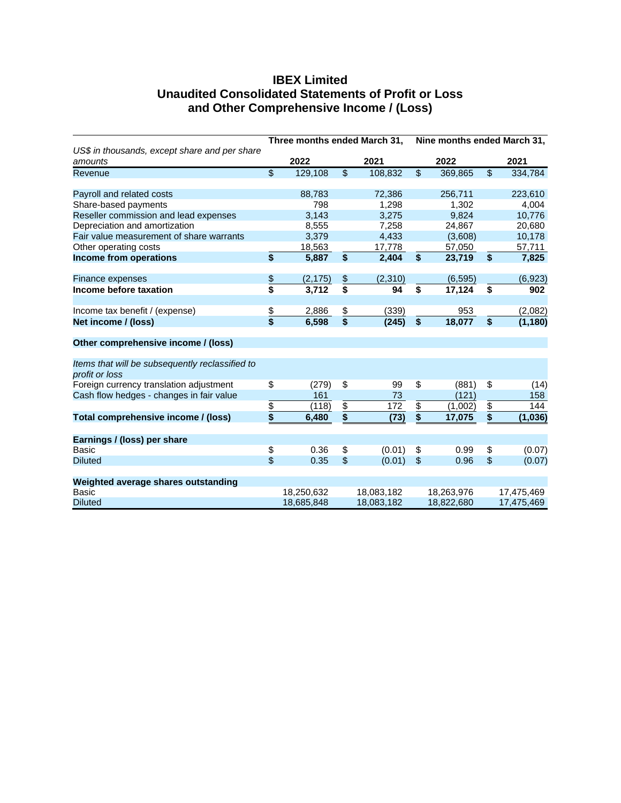# **IBEX Limited Unaudited Consolidated Statements of Profit or Loss and Other Comprehensive Income / (Loss)**

|                                                                   | Three months ended March 31, |            |                 |            | Nine months ended March 31, |            |                 |            |
|-------------------------------------------------------------------|------------------------------|------------|-----------------|------------|-----------------------------|------------|-----------------|------------|
| US\$ in thousands, except share and per share                     |                              |            |                 |            |                             |            |                 |            |
| amounts                                                           |                              | 2022       |                 | 2021       |                             | 2022       |                 | 2021       |
| Revenue                                                           | \$                           | 129,108    | $\mathfrak{s}$  | 108,832    | $\mathfrak{S}$              | 369,865    | \$              | 334,784    |
| Payroll and related costs                                         |                              | 88,783     |                 | 72,386     |                             | 256,711    |                 | 223,610    |
| Share-based payments                                              |                              | 798        |                 | 1,298      |                             | 1,302      |                 | 4,004      |
| Reseller commission and lead expenses                             |                              | 3,143      |                 | 3,275      |                             | 9,824      |                 | 10,776     |
| Depreciation and amortization                                     |                              | 8,555      |                 | 7,258      |                             | 24,867     |                 | 20,680     |
| Fair value measurement of share warrants                          |                              | 3,379      |                 | 4,433      |                             | (3,608)    |                 | 10,178     |
| Other operating costs                                             |                              | 18,563     |                 | 17,778     |                             | 57,050     |                 | 57,711     |
| Income from operations                                            | $\overline{\$}$              | 5,887      | $\overline{\$}$ | 2,404      | $\overline{\$}$             | 23,719     | $\overline{\$}$ | 7,825      |
| Finance expenses                                                  |                              | (2, 175)   |                 | (2,310)    |                             | (6, 595)   |                 | (6,923)    |
| Income before taxation                                            | $rac{6}{5}$                  | 3,712      | $\frac{3}{5}$   | 94         | $\overline{\$}$             | 17,124     | $\overline{\$}$ | 902        |
|                                                                   |                              |            |                 |            |                             |            |                 |            |
| Income tax benefit / (expense)                                    | $\frac{3}{5}$                | 2,886      | \$<br>\$        | (339)      |                             | 953        |                 | (2,082)    |
| Net income / (loss)                                               |                              | 6,598      |                 | (245)      | $\overline{\$}$             | 18,077     | $\overline{\$}$ | (1, 180)   |
| Other comprehensive income / (loss)                               |                              |            |                 |            |                             |            |                 |            |
| Items that will be subsequently reclassified to<br>profit or loss |                              |            |                 |            |                             |            |                 |            |
| Foreign currency translation adjustment                           | \$                           | (279)      | \$              | 99         | \$                          | (881)      | \$              | (14)       |
| Cash flow hedges - changes in fair value                          |                              | 161        |                 | 73         |                             | (121)      |                 | 158        |
|                                                                   |                              | (118)      | $\frac{1}{2}$   | 172        |                             | (1,002)    | $\frac{1}{2}$   | 144        |
| Total comprehensive income / (loss)                               | $\frac{6}{5}$                | 6,480      | $\overline{\$}$ | (73)       | $rac{6}{3}$                 | 17,075     | \$              | (1,036)    |
| Earnings / (loss) per share                                       |                              |            |                 |            |                             |            |                 |            |
| Basic                                                             | \$                           | 0.36       | \$              | (0.01)     | \$                          | 0.99       | \$              | (0.07)     |
| <b>Diluted</b>                                                    | \$                           | 0.35       | \$              | (0.01)     | $\frac{1}{2}$               | 0.96       | \$              | (0.07)     |
|                                                                   |                              |            |                 |            |                             |            |                 |            |
| Weighted average shares outstanding                               |                              |            |                 |            |                             |            |                 |            |
| <b>Basic</b>                                                      |                              | 18,250,632 |                 | 18,083,182 |                             | 18,263,976 |                 | 17,475,469 |
| <b>Diluted</b>                                                    |                              | 18,685,848 |                 | 18,083,182 |                             | 18,822,680 |                 | 17,475,469 |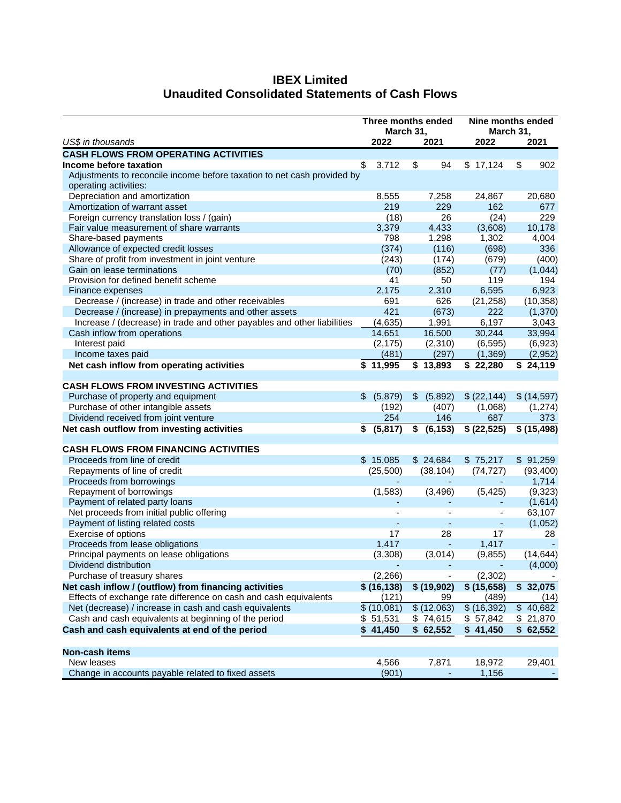# **IBEX Limited Unaudited Consolidated Statements of Cash Flows**

|                                                                                                  | March 31,     | Three months ended       | March 31,         | Nine months ended        |
|--------------------------------------------------------------------------------------------------|---------------|--------------------------|-------------------|--------------------------|
| US\$ in thousands                                                                                | 2022          | 2021                     | 2022              | 2021                     |
| <b>CASH FLOWS FROM OPERATING ACTIVITIES</b>                                                      |               |                          |                   |                          |
| Income before taxation                                                                           | \$<br>3,712   | \$<br>94                 | \$17,124          | \$<br>902                |
| Adjustments to reconcile income before taxation to net cash provided by<br>operating activities: |               |                          |                   |                          |
| Depreciation and amortization                                                                    | 8,555         | 7,258                    | 24,867            | 20,680                   |
| Amortization of warrant asset                                                                    | 219           | 229                      | 162               | 677                      |
| Foreign currency translation loss / (gain)                                                       | (18)          | 26                       | (24)              | 229                      |
| Fair value measurement of share warrants                                                         | 3,379         | 4,433                    | (3,608)           | 10,178                   |
| Share-based payments                                                                             | 798           | 1,298                    | 1,302             | 4,004                    |
| Allowance of expected credit losses                                                              | (374)         | (116)                    | (698)             | 336                      |
| Share of profit from investment in joint venture                                                 | (243)         | (174)                    | (679)             | (400)                    |
| Gain on lease terminations                                                                       | (70)          | (852)                    | (77)              | (1,044)                  |
| Provision for defined benefit scheme                                                             | 41            | 50                       | 119               | 194                      |
| Finance expenses                                                                                 | 2,175         | 2,310                    | 6,595             | 6,923                    |
| Decrease / (increase) in trade and other receivables                                             | 691           | 626                      | (21, 258)         | (10, 358)                |
| Decrease / (increase) in prepayments and other assets                                            | 421           | (673)                    | 222               | (1, 370)                 |
| Increase / (decrease) in trade and other payables and other liabilities                          | (4,635)       | 1,991                    | 6,197             | 3,043                    |
| Cash inflow from operations                                                                      | 14,651        | 16,500                   | 30,244            | 33,994                   |
| Interest paid                                                                                    | (2, 175)      | (2,310)                  | (6, 595)          | (6,923)                  |
| Income taxes paid                                                                                | (481)         | (297)                    | (1, 369)          | (2,952)                  |
| Net cash inflow from operating activities                                                        | \$11,995      | $\sqrt{$}3,893$          | $\sqrt{$}$ 22,280 | \$24,119                 |
|                                                                                                  |               |                          |                   |                          |
| <b>CASH FLOWS FROM INVESTING ACTIVITIES</b>                                                      |               |                          |                   |                          |
| Purchase of property and equipment                                                               | \$<br>(5,879) | (5,892)<br>$\mathbb{S}$  | \$ (22, 144)      | \$(14,597)               |
| Purchase of other intangible assets                                                              | (192)         | (407)                    | (1,068)           | (1,274)                  |
| Dividend received from joint venture                                                             | 254           | 146                      | 687               | 373                      |
| Net cash outflow from investing activities                                                       | (5,817)<br>\$ | \$<br>(6, 153)           | \$ (22,525)       | $\overline{\$}$ (15,498) |
| <b>CASH FLOWS FROM FINANCING ACTIVITIES</b>                                                      |               |                          |                   |                          |
| Proceeds from line of credit                                                                     | \$15,085      | \$24,684                 | \$75,217          | \$91,259                 |
| Repayments of line of credit                                                                     | (25, 500)     | (38, 104)                | (74, 727)         | (93, 400)                |
| Proceeds from borrowings                                                                         |               |                          |                   | 1,714                    |
| Repayment of borrowings                                                                          | (1, 583)      | (3, 496)                 | (5, 425)          | (9,323)                  |
| Payment of related party loans                                                                   |               |                          | ٠                 | (1,614)                  |
| Net proceeds from initial public offering                                                        |               |                          |                   | 63,107                   |
| Payment of listing related costs                                                                 |               | $\blacksquare$           | ä,                | (1,052)                  |
| Exercise of options                                                                              | 17            | 28                       | 17                | 28                       |
| Proceeds from lease obligations                                                                  | 1,417         | Ξ                        | 1,417             |                          |
| Principal payments on lease obligations                                                          | (3,308)       | (3,014)                  | (9, 855)          | (14, 644)                |
| Dividend distribution                                                                            |               |                          |                   | (4,000)                  |
| Purchase of treasury shares                                                                      | (2, 266)      | $\overline{\phantom{a}}$ | (2, 302)          |                          |
| Net cash inflow / (outflow) from financing activities                                            | \$(16, 138)   | \$(19,902)               | \$(15,658)        | \$32,075                 |
| Effects of exchange rate difference on cash and cash equivalents                                 | (121)         | 99                       | (489)             | (14)                     |
| Net (decrease) / increase in cash and cash equivalents                                           | \$(10,081)    | \$(12,063)               | \$(16,392)        | \$40,682                 |
| Cash and cash equivalents at beginning of the period                                             | \$51,531      | \$74,615                 | \$57,842          | \$21,870                 |
| Cash and cash equivalents at end of the period                                                   | 41,450        | \$62,552                 | \$<br>41,450      | \$62,552                 |
|                                                                                                  |               |                          |                   |                          |
| Non-cash items                                                                                   |               |                          |                   |                          |
| New leases                                                                                       | 4,566         | 7,871                    | 18,972            | 29,401                   |
| Change in accounts payable related to fixed assets                                               | (901)         |                          | 1,156             |                          |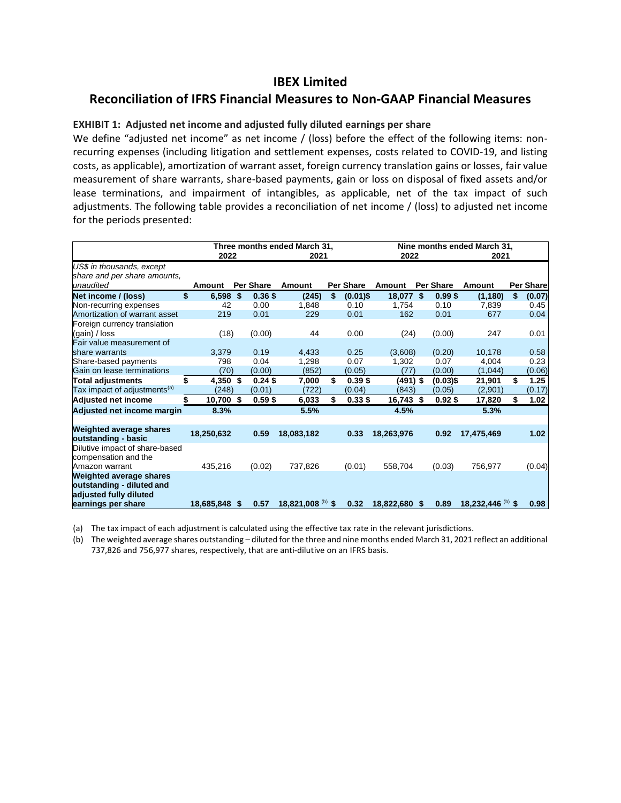# **IBEX Limited**

## **Reconciliation of IFRS Financial Measures to Non-GAAP Financial Measures**

### **EXHIBIT 1: Adjusted net income and adjusted fully diluted earnings per share**

We define "adjusted net income" as net income / (loss) before the effect of the following items: nonrecurring expenses (including litigation and settlement expenses, costs related to COVID-19, and listing costs, as applicable), amortization of warrant asset, foreign currency translation gains or losses, fair value measurement of share warrants, share-based payments, gain or loss on disposal of fixed assets and/or lease terminations, and impairment of intangibles, as applicable, net of the tax impact of such adjustments. The following table provides a reconciliation of net income / (loss) to adjusted net income for the periods presented:

|                                |        |                       |                                                                   |                                    |                       |                                                                      | Nine months ended March 31, |                                       |                                                                                                              |                                                                              |                                              |                             |
|--------------------------------|--------|-----------------------|-------------------------------------------------------------------|------------------------------------|-----------------------|----------------------------------------------------------------------|-----------------------------|---------------------------------------|--------------------------------------------------------------------------------------------------------------|------------------------------------------------------------------------------|----------------------------------------------|-----------------------------|
|                                |        |                       |                                                                   |                                    |                       |                                                                      |                             |                                       |                                                                                                              |                                                                              |                                              |                             |
| share and per share amounts,   | Amount |                       |                                                                   | Amount                             |                       |                                                                      | Amount                      |                                       |                                                                                                              | Amount                                                                       |                                              | Per Share                   |
| \$                             |        | \$                    | $0.36$ \$                                                         | (245)                              | \$                    |                                                                      |                             |                                       |                                                                                                              | (1, 180)                                                                     | S                                            | (0.07)                      |
|                                | 42     |                       | 0.00                                                              | 1,848                              |                       | 0.10                                                                 |                             |                                       | 0.10                                                                                                         | 7,839                                                                        |                                              | 0.45                        |
|                                | 219    |                       | 0.01                                                              | 229                                |                       | 0.01                                                                 |                             |                                       | 0.01                                                                                                         | 677                                                                          |                                              | 0.04                        |
|                                |        |                       | (0.00)                                                            | 44                                 |                       | 0.00                                                                 |                             |                                       | (0.00)                                                                                                       | 247                                                                          |                                              | 0.01                        |
|                                |        |                       |                                                                   |                                    |                       |                                                                      |                             |                                       |                                                                                                              |                                                                              |                                              |                             |
|                                | 3.379  |                       | 0.19                                                              | 4.433                              |                       | 0.25                                                                 |                             |                                       | (0.20)                                                                                                       | 10.178                                                                       |                                              | 0.58                        |
|                                | 798    |                       | 0.04                                                              | 1,298                              |                       | 0.07                                                                 |                             |                                       | 0.07                                                                                                         | 4,004                                                                        |                                              | 0.23                        |
|                                | (70)   |                       | (0.00)                                                            | (852)                              |                       | (0.05)                                                               |                             |                                       | (0.00)                                                                                                       | (1,044)                                                                      |                                              | (0.06)                      |
| \$                             |        |                       | $0.24$ \$                                                         | 7,000                              | \$                    |                                                                      |                             |                                       |                                                                                                              | 21,901                                                                       | \$                                           | 1.25                        |
|                                | (248)  |                       | (0.01)                                                            | (722)                              |                       | (0.04)                                                               |                             |                                       | (0.05)                                                                                                       | (2,901)                                                                      |                                              | (0.17)                      |
|                                |        |                       | $0.59$ \$                                                         | 6,033                              | \$                    |                                                                      |                             | \$                                    |                                                                                                              | 17,820                                                                       | \$                                           | 1.02                        |
| Adjusted net income margin     | 8.3%   |                       |                                                                   | 5.5%                               |                       |                                                                      |                             |                                       |                                                                                                              | 5.3%                                                                         |                                              |                             |
|                                |        |                       | 0.59                                                              |                                    |                       | 0.33                                                                 |                             |                                       | 0.92                                                                                                         | 17,475,469                                                                   |                                              | 1.02                        |
| Dilutive impact of share-based |        |                       |                                                                   |                                    |                       |                                                                      |                             |                                       |                                                                                                              |                                                                              |                                              | (0.04)                      |
|                                |        |                       |                                                                   |                                    |                       |                                                                      |                             |                                       |                                                                                                              |                                                                              |                                              | 0.98                        |
|                                |        | 18,250,632<br>435,216 | 2022<br>6,598<br>(18)<br>4,350 \$<br>$10,700$ \$<br>18,685,848 \$ | <b>Per Share</b><br>(0.02)<br>0.57 | 18,083,182<br>737,826 | Three months ended March 31,<br>2021<br>18,821,008 <sup>(b)</sup> \$ | Per Share<br>(0.01)<br>0.32 | $(0.01)$ \$<br>$0.39$ \$<br>$0.33$ \$ | 2022<br>1.754<br>162<br>(24)<br>(3,608)<br>1,302<br>(77)<br>(843)<br>16,743<br>4.5%<br>18,263,976<br>558,704 | <b>Per Share</b><br>18,077 \$<br>(491) \$<br>(0.03)<br>18,822,680 \$<br>0.89 | 0.99S<br>$(0.03)$ \$<br>$0.92$ \$<br>756,977 | 2021<br>18,232,446 $(b)$ \$ |

(a) The tax impact of each adjustment is calculated using the effective tax rate in the relevant jurisdictions.

(b) The weighted average shares outstanding – diluted for the three and nine months ended March 31, 2021 reflect an additional 737,826 and 756,977 shares, respectively, that are anti-dilutive on an IFRS basis.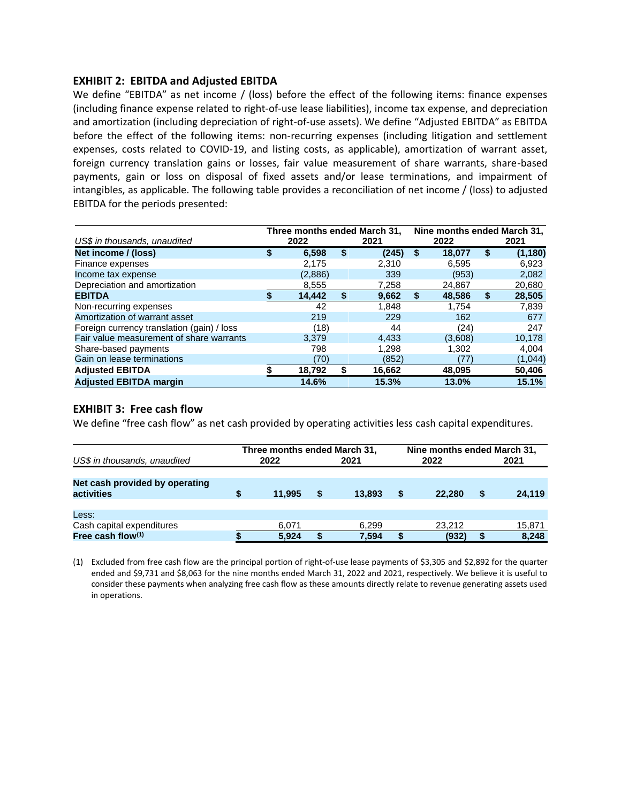#### **EXHIBIT 2: EBITDA and Adjusted EBITDA**

We define "EBITDA" as net income / (loss) before the effect of the following items: finance expenses (including finance expense related to right-of-use lease liabilities), income tax expense, and depreciation and amortization (including depreciation of right-of-use assets). We define "Adjusted EBITDA" as EBITDA before the effect of the following items: non-recurring expenses (including litigation and settlement expenses, costs related to COVID-19, and listing costs, as applicable), amortization of warrant asset, foreign currency translation gains or losses, fair value measurement of share warrants, share-based payments, gain or loss on disposal of fixed assets and/or lease terminations, and impairment of intangibles, as applicable. The following table provides a reconciliation of net income / (loss) to adjusted EBITDA for the periods presented:

|                                            | Three months ended March 31, |         |    | Nine months ended March 31, |    |         |    |          |
|--------------------------------------------|------------------------------|---------|----|-----------------------------|----|---------|----|----------|
| US\$ in thousands, unaudited               |                              | 2022    |    | 2021                        |    | 2022    |    | 2021     |
| Net income / (loss)                        |                              | 6,598   | \$ | (245)                       | S. | 18,077  | S  | (1, 180) |
| Finance expenses                           |                              | 2.175   |    | 2,310                       |    | 6,595   |    | 6,923    |
| Income tax expense                         |                              | (2,886) |    | 339                         |    | (953)   |    | 2,082    |
| Depreciation and amortization              |                              | 8,555   |    | 7,258                       |    | 24,867  |    | 20,680   |
| <b>EBITDA</b>                              |                              | 14.442  | \$ | 9,662                       | \$ | 48,586  | \$ | 28,505   |
| Non-recurring expenses                     |                              | 42      |    | 1,848                       |    | 1.754   |    | 7,839    |
| Amortization of warrant asset              |                              | 219     |    | 229                         |    | 162     |    | 677      |
| Foreign currency translation (gain) / loss |                              | (18)    |    | 44                          |    | (24)    |    | 247      |
| Fair value measurement of share warrants   |                              | 3.379   |    | 4,433                       |    | (3,608) |    | 10,178   |
| Share-based payments                       |                              | 798     |    | 1,298                       |    | 1,302   |    | 4,004    |
| Gain on lease terminations                 |                              | (70)    |    | (852)                       |    | (77)    |    | (1, 044) |
| <b>Adjusted EBITDA</b>                     |                              | 18,792  | \$ | 16,662                      |    | 48,095  |    | 50,406   |
| <b>Adjusted EBITDA margin</b>              |                              | 14.6%   |    | 15.3%                       |    | 13.0%   |    | 15.1%    |

#### **EXHIBIT 3: Free cash flow**

We define "free cash flow" as net cash provided by operating activities less cash capital expenditures.

|                                | Three months ended March 31, |        | Nine months ended March 31, |        |      |        |  |  |
|--------------------------------|------------------------------|--------|-----------------------------|--------|------|--------|--|--|
| US\$ in thousands, unaudited   | 2022                         | 2021   |                             | 2022   | 2021 |        |  |  |
|                                |                              |        |                             |        |      |        |  |  |
| Net cash provided by operating |                              |        |                             |        |      |        |  |  |
| activities                     | 11.995                       | 13,893 |                             | 22,280 |      | 24,119 |  |  |
|                                |                              |        |                             |        |      |        |  |  |
| Less:                          |                              |        |                             |        |      |        |  |  |
| Cash capital expenditures      | 6.071                        | 6.299  |                             | 23.212 |      | 15,871 |  |  |
| Free cash flow $(1)$           | 5.924                        | 7,594  |                             | (932)  |      | 8,248  |  |  |

(1) Excluded from free cash flow are the principal portion of right-of-use lease payments of \$3,305 and \$2,892 for the quarter ended and \$9,731 and \$8,063 for the nine months ended March 31, 2022 and 2021, respectively. We believe it is useful to consider these payments when analyzing free cash flow as these amounts directly relate to revenue generating assets used in operations.